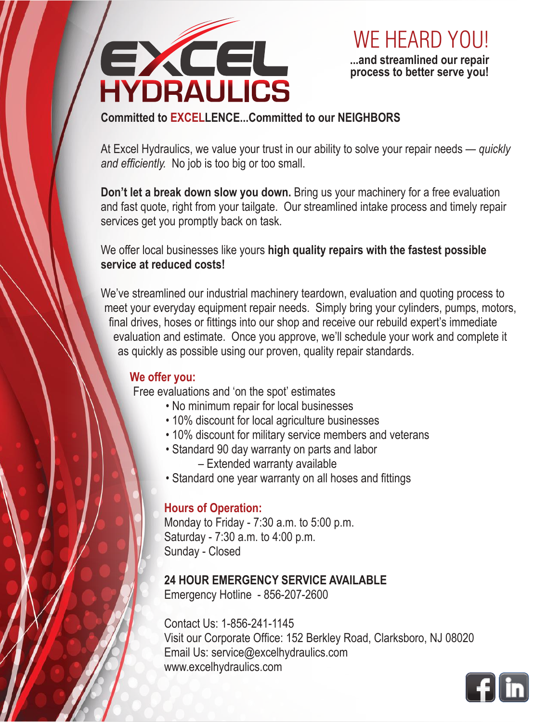

**...and streamlined our repair process to better serve you!**  WE HEARD YOU!

# **Committed to EXCELLENCE...Committed to our NEIGHBORS**

At Excel Hydraulics, we value your trust in our ability to solve your repair needs — *quickly and efficiently.* No job is too big or too small.

**Don't let a break down slow you down.** Bring us your machinery for a free evaluation and fast quote, right from your tailgate. Our streamlined intake process and timely repair services get you promptly back on task.

We offer local businesses like yours **high quality repairs with the fastest possible service at reduced costs!**

We've streamlined our industrial machinery teardown, evaluation and quoting process to meet your everyday equipment repair needs. Simply bring your cylinders, pumps, motors, final drives, hoses or fittings into our shop and receive our rebuild expert's immediate evaluation and estimate. Once you approve, we'll schedule your work and complete it as quickly as possible using our proven, quality repair standards.

## **We offer you:**

Free evaluations and 'on the spot' estimates

- No minimum repair for local businesses
- 10% discount for local agriculture businesses
- 10% discount for military service members and veterans
- Standard 90 day warranty on parts and labor – Extended warranty available
- Standard one year warranty on all hoses and fittings

## **Hours of Operation:**

Monday to Friday - 7:30 a.m. to 5:00 p.m. Saturday - 7:30 a.m. to 4:00 p.m. Sunday - Closed

# **24 HOUR EMERGENCY SERVICE AVAILABLE**

Emergency Hotline - 856-207-2600

Contact Us: 1-856-241-1145 Visit our Corporate Office: 152 Berkley Road, Clarksboro, NJ 08020 Email Us: service@excelhydraulics.com www.excelhydraulics.com